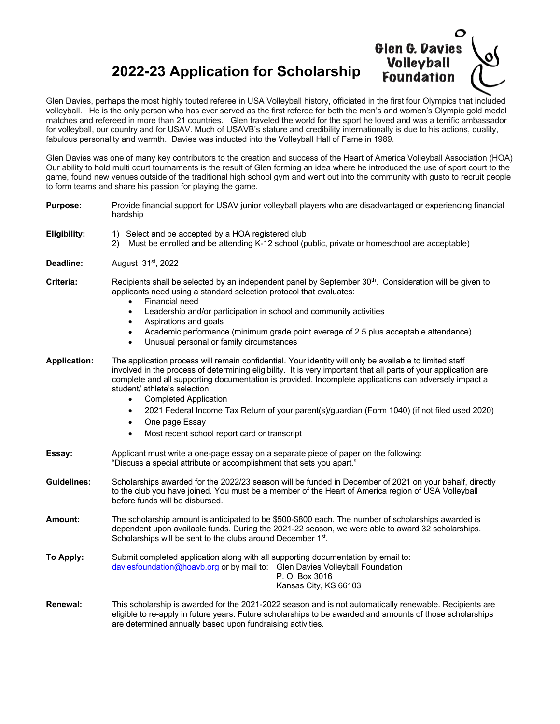## **2022-23 Application for Scholarship**



Glen Davies, perhaps the most highly touted referee in USA Volleyball history, officiated in the first four Olympics that included volleyball. He is the only person who has ever served as the first referee for both the men's and women's Olympic gold medal matches and refereed in more than 21 countries. Glen traveled the world for the sport he loved and was a terrific ambassador for volleyball, our country and for USAV. Much of USAVB's stature and credibility internationally is due to his actions, quality, fabulous personality and warmth. Davies was inducted into the Volleyball Hall of Fame in 1989.

Glen Davies was one of many key contributors to the creation and success of the Heart of America Volleyball Association (HOA) Our ability to hold multi court tournaments is the result of Glen forming an idea where he introduced the use of sport court to the game, found new venues outside of the traditional high school gym and went out into the community with gusto to recruit people to form teams and share his passion for playing the game.

| <b>Purpose:</b>     | Provide financial support for USAV junior volleyball players who are disadvantaged or experiencing financial<br>hardship                                                                                                                                                                                                                                                                                                                                                                                                                                                                                                    |
|---------------------|-----------------------------------------------------------------------------------------------------------------------------------------------------------------------------------------------------------------------------------------------------------------------------------------------------------------------------------------------------------------------------------------------------------------------------------------------------------------------------------------------------------------------------------------------------------------------------------------------------------------------------|
| Eligibility:        | 1) Select and be accepted by a HOA registered club<br>Must be enrolled and be attending K-12 school (public, private or homeschool are acceptable)<br>2)                                                                                                                                                                                                                                                                                                                                                                                                                                                                    |
| Deadline:           | August 31 <sup>st</sup> , 2022                                                                                                                                                                                                                                                                                                                                                                                                                                                                                                                                                                                              |
| Criteria:           | Recipients shall be selected by an independent panel by September 30 <sup>th</sup> . Consideration will be given to<br>applicants need using a standard selection protocol that evaluates:<br>Financial need<br>Leadership and/or participation in school and community activities<br>$\bullet$<br>Aspirations and goals<br>$\bullet$<br>Academic performance (minimum grade point average of 2.5 plus acceptable attendance)<br>$\bullet$<br>Unusual personal or family circumstances<br>$\bullet$                                                                                                                         |
| <b>Application:</b> | The application process will remain confidential. Your identity will only be available to limited staff<br>involved in the process of determining eligibility. It is very important that all parts of your application are<br>complete and all supporting documentation is provided. Incomplete applications can adversely impact a<br>student/ athlete's selection<br><b>Completed Application</b><br>$\bullet$<br>2021 Federal Income Tax Return of your parent(s)/guardian (Form 1040) (if not filed used 2020)<br>$\bullet$<br>One page Essay<br>$\bullet$<br>Most recent school report card or transcript<br>$\bullet$ |
| Essay:              | Applicant must write a one-page essay on a separate piece of paper on the following:<br>"Discuss a special attribute or accomplishment that sets you apart."                                                                                                                                                                                                                                                                                                                                                                                                                                                                |
| <b>Guidelines:</b>  | Scholarships awarded for the 2022/23 season will be funded in December of 2021 on your behalf, directly<br>to the club you have joined. You must be a member of the Heart of America region of USA Volleyball<br>before funds will be disbursed.                                                                                                                                                                                                                                                                                                                                                                            |
| Amount:             | The scholarship amount is anticipated to be \$500-\$800 each. The number of scholarships awarded is<br>dependent upon available funds. During the 2021-22 season, we were able to award 32 scholarships.<br>Scholarships will be sent to the clubs around December 1 <sup>st</sup> .                                                                                                                                                                                                                                                                                                                                        |
| To Apply:           | Submit completed application along with all supporting documentation by email to:<br>daviesfoundation@hoavb.org or by mail to: Glen Davies Volleyball Foundation<br>P. O. Box 3016<br>Kansas City, KS 66103                                                                                                                                                                                                                                                                                                                                                                                                                 |
| Renewal:            | This scholarship is awarded for the 2021-2022 season and is not automatically renewable. Recipients are<br>eligible to re-apply in future years. Future scholarships to be awarded and amounts of those scholarships<br>are determined annually based upon fundraising activities.                                                                                                                                                                                                                                                                                                                                          |